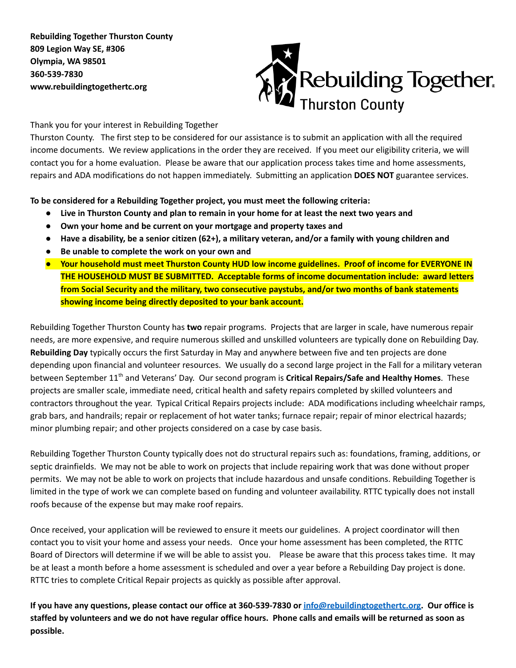**Rebuilding Together Thurston County 809 Legion Way SE, #306 Olympia, WA 98501 360-539-7830 www.rebuildingtogethertc.org**



Thank you for your interest in Rebuilding Together

Thurston County. The first step to be considered for our assistance is to submit an application with all the required income documents. We review applications in the order they are received. If you meet our eligibility criteria, we will contact you for a home evaluation. Please be aware that our application process takes time and home assessments, repairs and ADA modifications do not happen immediately. Submitting an application **DOES NOT** guarantee services.

**To be considered for a Rebuilding Together project, you must meet the following criteria:**

- Live in Thurston County and plan to remain in your home for at least the next two years and
- **● Own your home and be current on your mortgage and property taxes and**
- $\bullet$  Have a disability, be a senior citizen (62+), a military veteran, and/or a family with young children and
- **● Be unable to complete the work on your own and**
- **● Your household must meet Thurston County HUD low income guidelines. Proof of income for EVERYONE IN THE HOUSEHOLD MUST BE SUBMITTED. Acceptable forms of income documentation include: award letters from Social Security and the military, two consecutive paystubs, and/or two months of bank statements showing income being directly deposited to your bank account.**

Rebuilding Together Thurston County has **two** repair programs. Projects that are larger in scale, have numerous repair needs, are more expensive, and require numerous skilled and unskilled volunteers are typically done on Rebuilding Day. **Rebuilding Day** typically occurs the first Saturday in May and anywhere between five and ten projects are done depending upon financial and volunteer resources. We usually do a second large project in the Fall for a military veteran between September 11<sup>th</sup> and Veterans' Day. Our second program is **Critical Repairs/Safe and Healthy Homes**. These projects are smaller scale, immediate need, critical health and safety repairs completed by skilled volunteers and contractors throughout the year. Typical Critical Repairs projects include: ADA modifications including wheelchair ramps, grab bars, and handrails; repair or replacement of hot water tanks; furnace repair; repair of minor electrical hazards; minor plumbing repair; and other projects considered on a case by case basis.

Rebuilding Together Thurston County typically does not do structural repairs such as: foundations, framing, additions, or septic drainfields. We may not be able to work on projects that include repairing work that was done without proper permits. We may not be able to work on projects that include hazardous and unsafe conditions. Rebuilding Together is limited in the type of work we can complete based on funding and volunteer availability. RTTC typically does not install roofs because of the expense but may make roof repairs.

Once received, your application will be reviewed to ensure it meets our guidelines. A project coordinator will then contact you to visit your home and assess your needs. Once your home assessment has been completed, the RTTC Board of Directors will determine if we will be able to assist you. Please be aware that this process takes time. It may be at least a month before a home assessment is scheduled and over a year before a Rebuilding Day project is done. RTTC tries to complete Critical Repair projects as quickly as possible after approval.

If you have any questions, please contact our office at 360-539-7830 or [info@rebuildingtogethertc.org.](mailto:info@rebuildingtogethertc.org) Our office is staffed by volunteers and we do not have regular office hours. Phone calls and emails will be returned as soon as **possible.**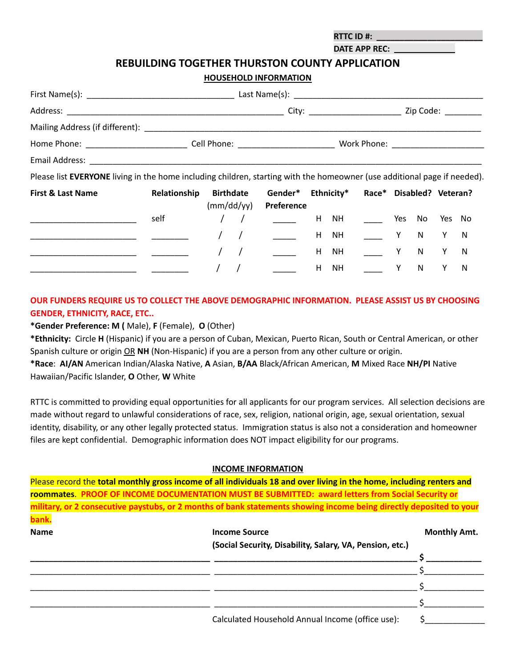**RTTC ID #: \_\_\_\_\_\_\_\_\_\_\_\_\_\_\_\_\_\_\_\_\_\_\_ DATE APP REC:**

# **REBUILDING TOGETHER THURSTON COUNTY APPLICATION**

**HOUSEHOLD INFORMATION**

|                                                                                                                                                                                                                               |              |                                |                                 |            | City: ________________________ |   |              |        | Zip Code: ________ |
|-------------------------------------------------------------------------------------------------------------------------------------------------------------------------------------------------------------------------------|--------------|--------------------------------|---------------------------------|------------|--------------------------------|---|--------------|--------|--------------------|
|                                                                                                                                                                                                                               |              |                                |                                 |            |                                |   |              |        |                    |
|                                                                                                                                                                                                                               |              |                                |                                 |            |                                |   |              |        |                    |
| Email Address: National Address: National Address: National Address: National Address: National Address: National Address: National Address: National Address: National Address: National Address: National Address: National |              |                                |                                 |            |                                |   |              |        |                    |
| Please list EVERYONE living in the home including children, starting with the homeowner (use additional page if needed).                                                                                                      |              |                                |                                 |            |                                |   |              |        |                    |
| <b>First &amp; Last Name</b>                                                                                                                                                                                                  | Relationship | <b>Birthdate</b><br>(mm/dd/yy) | Gender*<br>Preference           | Ethnicity* | Race* Disabled? Veteran?       |   |              |        |                    |
|                                                                                                                                                                                                                               | self         |                                | <b>Contract Contract</b>        |            | H NH Yes No                    |   |              | Yes No |                    |
|                                                                                                                                                                                                                               |              |                                |                                 |            | H NH Y N                       |   |              | Y.     | N                  |
|                                                                                                                                                                                                                               |              |                                | $\frac{1}{2}$ and $\frac{1}{2}$ |            | H NH Y                         |   | N            | Y      | N                  |
|                                                                                                                                                                                                                               |              |                                |                                 | H NH       |                                | Y | $\mathsf{N}$ |        | N                  |

# **OUR FUNDERS REQUIRE US TO COLLECT THE ABOVE DEMOGRAPHIC INFORMATION. PLEASE ASSIST US BY CHOOSING GENDER, ETHNICITY, RACE, ETC..**

**\*Gender Preference: M (** Male), **F** (Female), **O** (Other)

**\*Ethnicity:** Circle **H** (Hispanic) if you are a person of Cuban, Mexican, Puerto Rican, South or Central American, or other Spanish culture or origin OR **NH** (Non-Hispanic) if you are a person from any other culture or origin. **\*Race**: **AI/AN** American Indian/Alaska Native, **A** Asian, **B/AA** Black/African American, **M** Mixed Race **NH/PI** Native

Hawaiian/Pacific Islander, **O** Other, **W** White

RTTC is committed to providing equal opportunities for all applicants for our program services. All selection decisions are made without regard to unlawful considerations of race, sex, religion, national origin, age, sexual orientation, sexual identity, disability, or any other legally protected status. Immigration status is also not a consideration and homeowner files are kept confidential. Demographic information does NOT impact eligibility for our programs.

### **INCOME INFORMATION**

|             | Please record the total monthly gross income of all individuals 18 and over living in the home, including renters and |                     |
|-------------|-----------------------------------------------------------------------------------------------------------------------|---------------------|
|             | roommates. PROOF OF INCOME DOCUMENTATION MUST BE SUBMITTED: award letters from Social Security or                     |                     |
|             | military, or 2 consecutive paystubs, or 2 months of bank statements showing income being directly deposited to your   |                     |
| bank.       |                                                                                                                       |                     |
| <b>Name</b> | <b>Income Source</b>                                                                                                  | <b>Monthly Amt.</b> |
|             | (Social Security, Disability, Salary, VA, Pension, etc.)                                                              |                     |
|             |                                                                                                                       |                     |
|             |                                                                                                                       |                     |
|             |                                                                                                                       |                     |
|             |                                                                                                                       |                     |
|             | Calculated Household Annual Income (office use):                                                                      |                     |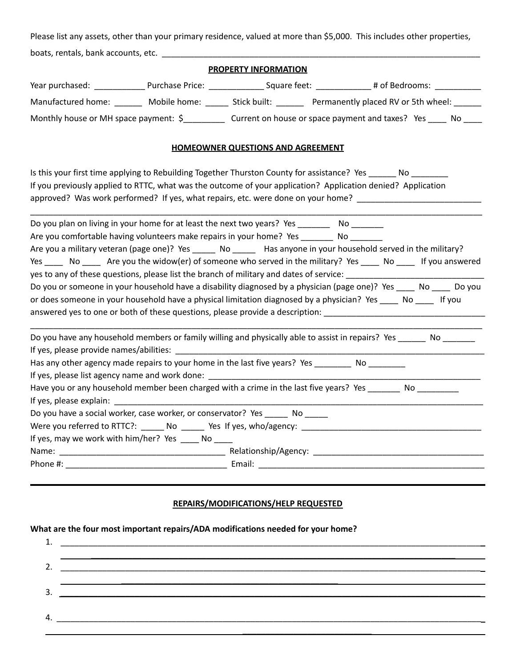Please list any assets, other than your primary residence, valued at more than \$5,000. This includes other properties, boats, rentals, bank accounts, etc. \_\_\_\_\_\_\_\_\_\_\_\_\_\_\_\_\_\_\_\_\_\_\_\_\_\_\_\_\_\_\_\_\_\_\_\_\_\_\_\_\_\_\_\_\_\_\_\_\_\_\_\_\_\_\_\_\_\_\_\_\_\_\_\_\_\_\_\_\_

## **PROPERTY INFORMATION**

| Year purchased:                       | Purchase Price: | Square feet: |                                                  | # of Bedrooms: |
|---------------------------------------|-----------------|--------------|--------------------------------------------------|----------------|
| Manufactured home:                    | Mobile home:    | Stick built: | Permanently placed RV or 5th wheel:              |                |
| Monthly house or MH space payment: \$ |                 |              | Current on house or space payment and taxes? Yes | Nο             |

#### **HOMEOWNER QUESTIONS AND AGREEMENT**

| Is this your first time applying to Rebuilding Together Thurston County for assistance? Yes _______ No _______<br>If you previously applied to RTTC, what was the outcome of your application? Application denied? Application<br>approved? Was work performed? If yes, what repairs, etc. were done on your home? _____________________________                                                                                           |
|--------------------------------------------------------------------------------------------------------------------------------------------------------------------------------------------------------------------------------------------------------------------------------------------------------------------------------------------------------------------------------------------------------------------------------------------|
| Do you plan on living in your home for at least the next two years? Yes _________ No _______<br>Are you comfortable having volunteers make repairs in your home? Yes _________ No ________<br>Are you a military veteran (page one)? Yes ______ No ______ Has anyone in your household served in the military?<br>Yes _______ No _______ Are you the widow(er) of someone who served in the military? Yes ______ No ______ If you answered |
| Do you or someone in your household have a disability diagnosed by a physician (page one)? Yes ____ No ____ Do you<br>or does someone in your household have a physical limitation diagnosed by a physician? Yes _____ No _____ If you<br>answered yes to one or both of these questions, please provide a description: ________________________________                                                                                   |
| Do you have any household members or family willing and physically able to assist in repairs? Yes _______ No _______                                                                                                                                                                                                                                                                                                                       |
| Has any other agency made repairs to your home in the last five years? Yes __________ No _________                                                                                                                                                                                                                                                                                                                                         |
| Have you or any household member been charged with a crime in the last five years? Yes __________ No _________                                                                                                                                                                                                                                                                                                                             |
| Do you have a social worker, case worker, or conservator? Yes _______ No ______                                                                                                                                                                                                                                                                                                                                                            |
| Were you referred to RTTC?: _______ No _______ Yes If yes, who/agency: _____________________________                                                                                                                                                                                                                                                                                                                                       |
| If yes, may we work with him/her? Yes _____ No ____                                                                                                                                                                                                                                                                                                                                                                                        |
|                                                                                                                                                                                                                                                                                                                                                                                                                                            |
| Phone #: $\overline{\phantom{a}}$                                                                                                                                                                                                                                                                                                                                                                                                          |

#### **REPAIRS/MODIFICATIONS/HELP REQUESTED**

## **What are the four most important repairs/ADA modifications needed for your home?**

| 3.  |                                                                                                                      |
|-----|----------------------------------------------------------------------------------------------------------------------|
|     |                                                                                                                      |
| -4. | <u> 2000 - 2000 - 2000 - 2000 - 2000 - 2000 - 2000 - 2000 - 2000 - 2000 - 2000 - 2000 - 2000 - 2000 - 2000 - 200</u> |
|     |                                                                                                                      |
|     |                                                                                                                      |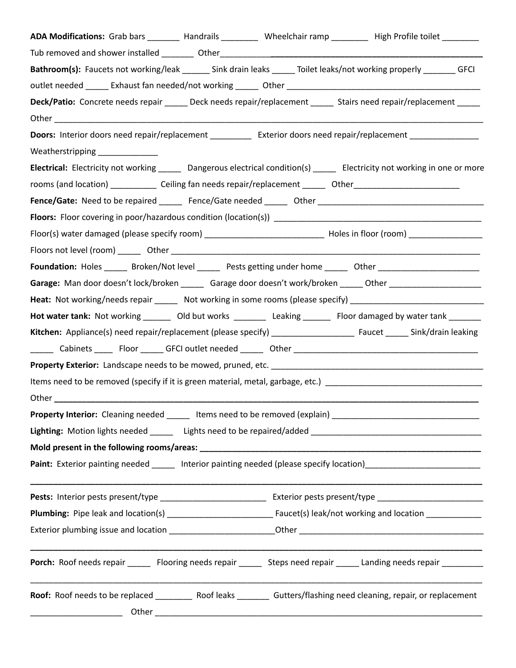| ADA Modifications: Grab bars ________ Handrails _________ Wheelchair ramp ________ High Profile toilet _______            |  |  |  |
|---------------------------------------------------------------------------------------------------------------------------|--|--|--|
|                                                                                                                           |  |  |  |
| Bathroom(s): Faucets not working/leak ______ Sink drain leaks _____ Toilet leaks/not working properly _______ GFCI        |  |  |  |
|                                                                                                                           |  |  |  |
| Deck/Patio: Concrete needs repair ______ Deck needs repair/replacement ______ Stairs need repair/replacement _____        |  |  |  |
|                                                                                                                           |  |  |  |
| Doors: Interior doors need repair/replacement ____________ Exterior doors need repair/replacement ____________            |  |  |  |
| Weatherstripping _____________                                                                                            |  |  |  |
| Electrical: Electricity not working ______ Dangerous electrical condition(s) _____ Electricity not working in one or more |  |  |  |
| rooms (and location) _______________ Ceiling fan needs repair/replacement _______ Other_______________________            |  |  |  |
|                                                                                                                           |  |  |  |
|                                                                                                                           |  |  |  |
|                                                                                                                           |  |  |  |
|                                                                                                                           |  |  |  |
| Foundation: Holes _____ Broken/Not level _____ Pests getting under home _____ Other ________________                      |  |  |  |
| Garage: Man door doesn't lock/broken ______ Garage door doesn't work/broken _____ Other __________________                |  |  |  |
| Heat: Not working/needs repair _______ Not working in some rooms (please specify) ____________________________            |  |  |  |
| Hot water tank: Not working ________ Old but works _________ Leaking _______ Floor damaged by water tank _______          |  |  |  |
|                                                                                                                           |  |  |  |
|                                                                                                                           |  |  |  |
|                                                                                                                           |  |  |  |
|                                                                                                                           |  |  |  |
|                                                                                                                           |  |  |  |
| Property Interior: Cleaning needed ______ Items need to be removed (explain) ________________________________             |  |  |  |
|                                                                                                                           |  |  |  |
|                                                                                                                           |  |  |  |
| Paint: Exterior painting needed _____ Interior painting needed (please specify location)______________________            |  |  |  |
|                                                                                                                           |  |  |  |
|                                                                                                                           |  |  |  |
|                                                                                                                           |  |  |  |
| Porch: Roof needs repair ______ Flooring needs repair _____ Steps need repair _____ Landing needs repair ________         |  |  |  |
| Roof: Roof needs to be replaced ____________ Roof leaks __________ Gutters/flashing need cleaning, repair, or replacement |  |  |  |